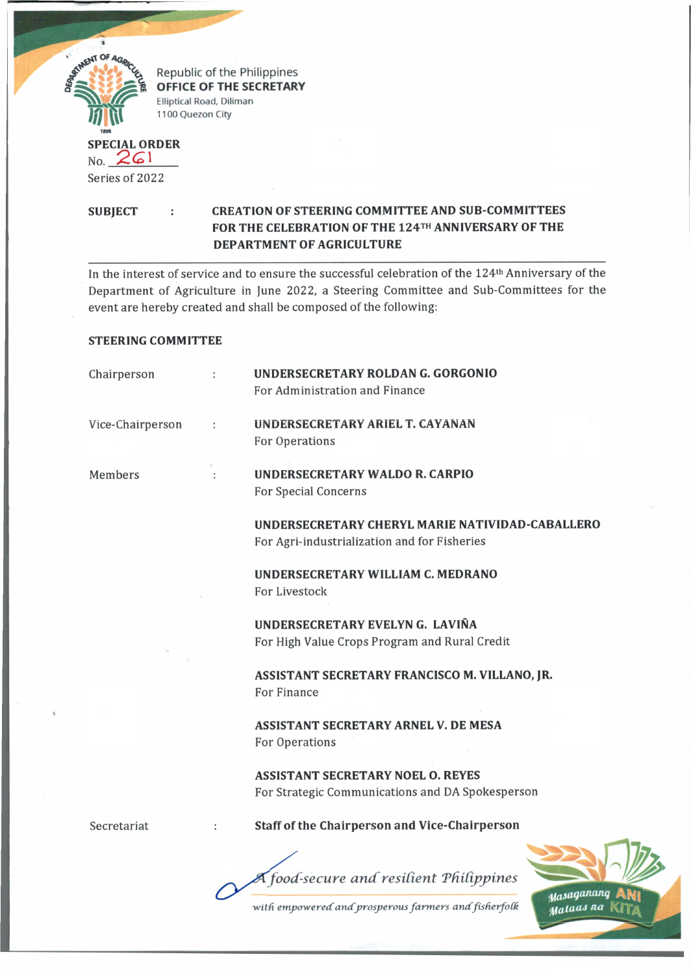

Republic of the Philippines **OFFICE OF THE SECRETARY Elliptical Road, Diliman 1100 Quezon City**

## **SPECIAL ORDER** Series of 2022

## **SUBJECT : CREATION OF STEERING COMMITTEE AND SUB-COMMITTEES FOR THE CELEBRATION OF THE 124™ ANNIVERSARY OF THE DEPARTMENT OF AGRICULTURE**

In the interest of service and to ensure the successful celebration of the 124th Anniversary of the Department of Agriculture in June 2022, a Steering Committee and Sub-Committees for the event are hereby created and shall be composed of the following:

## **STEERING COMMITTEE**

| Chairperson      | $\ddot{\phantom{a}}$ | UNDERSECRETARY ROLDAN G. GORGONIO<br>For Administration and Finance                             |  |
|------------------|----------------------|-------------------------------------------------------------------------------------------------|--|
| Vice-Chairperson |                      | UNDERSECRETARY ARIEL T. CAYANAN<br>For Operations                                               |  |
| Members          |                      | <b>UNDERSECRETARY WALDO R. CARPIO</b><br>For Special Concerns                                   |  |
|                  |                      | UNDERSECRETARY CHERYL MARIE NATIVIDAD-CABALLERO<br>For Agri-industrialization and for Fisheries |  |
|                  |                      | UNDERSECRETARY WILLIAM C. MEDRANO<br>For Livestock                                              |  |
|                  |                      | UNDERSECRETARY EVELYN G. LAVIÑA<br>For High Value Crops Program and Rural Credit                |  |
|                  |                      | ASSISTANT SECRETARY FRANCISCO M. VILLANO, JR.<br>For Finance                                    |  |
|                  |                      | ASSISTANT SECRETARY ARNEL V. DE MESA<br>For Operations                                          |  |
|                  |                      | <b>ASSISTANT SECRETARY NOEL O. REYES</b><br>For Strategic Communications and DA Spokesperson    |  |
| Secretariat      |                      | <b>Staff of the Chairperson and Vice-Chairperson</b>                                            |  |

*food-secure a n d resident Tfdlijfpines*



with empowered and prosperous farmers and fisherfolk